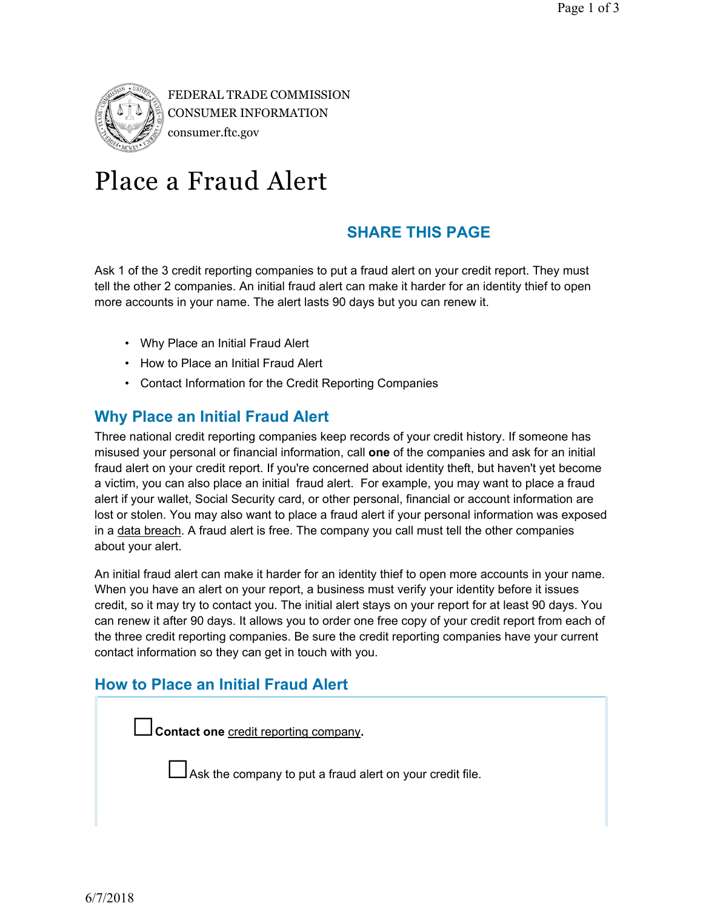

FEDERAL TRADE COMMISSION CONSUMER INFORMATION consumer.ftc.gov

# Place a Fraud Alert

### **SHARE THIS PAGE**

Ask 1 of the 3 credit reporting companies to put a fraud alert on your credit report. They must tell the other 2 companies. An initial fraud alert can make it harder for an identity thief to open more accounts in your name. The alert lasts 90 days but you can renew it.

- Why Place an Initial Fraud Alert
- How to Place an Initial Fraud Alert
- Contact Information for the Credit Reporting Companies

### **Why Place an Initial Fraud Alert**

Three national credit reporting companies keep records of your credit history. If someone has misused your personal or financial information, call **one** of the companies and ask for an initial fraud alert on your credit report. If you're concerned about identity theft, but haven't yet become a victim, you can also place an initial fraud alert. For example, you may want to place a fraud alert if your wallet, Social Security card, or other personal, financial or account information are lost or stolen. You may also want to place a fraud alert if your personal information was exposed in a data breach. A fraud alert is free. The company you call must tell the other companies about your alert.

An initial fraud alert can make it harder for an identity thief to open more accounts in your name. When you have an alert on your report, a business must verify your identity before it issues credit, so it may try to contact you. The initial alert stays on your report for at least 90 days. You can renew it after 90 days. It allows you to order one free copy of your credit report from each of the three credit reporting companies. Be sure the credit reporting companies have your current contact information so they can get in touch with you.

### **How to Place an Initial Fraud Alert**

**□Contact one** credit reporting company**.** 

 $\Box$  Ask the company to put a fraud alert on your credit file.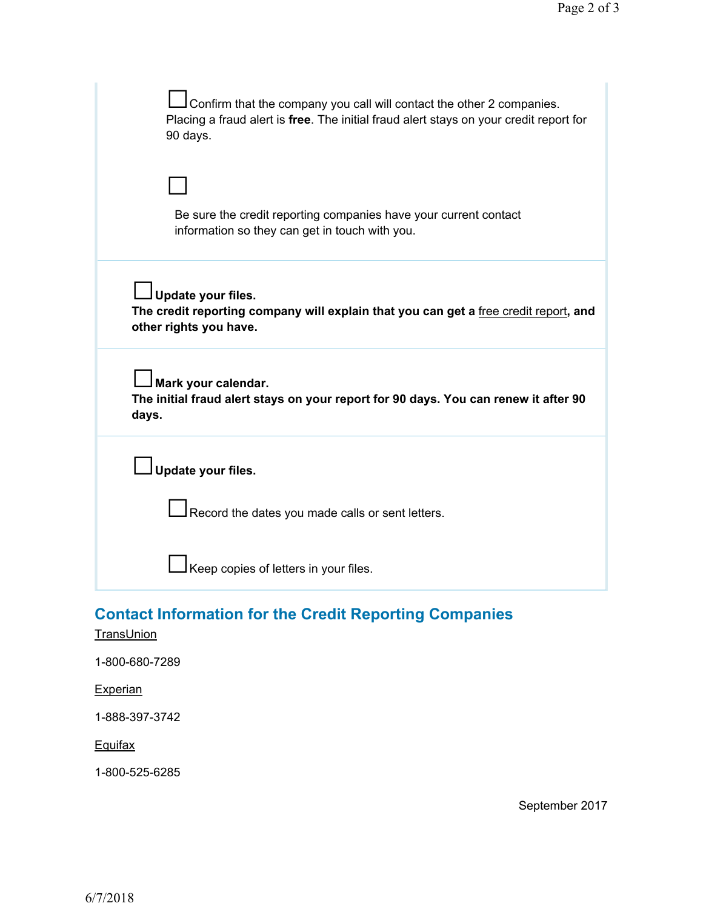| Confirm that the company you call will contact the other 2 companies.<br>Placing a fraud alert is free. The initial fraud alert stays on your credit report for<br>90 days. |
|-----------------------------------------------------------------------------------------------------------------------------------------------------------------------------|
| Be sure the credit reporting companies have your current contact<br>information so they can get in touch with you.                                                          |
| Update your files.<br>The credit reporting company will explain that you can get a free credit report, and<br>other rights you have.                                        |
| Mark your calendar.<br>The initial fraud alert stays on your report for 90 days. You can renew it after 90<br>days.                                                         |
| Update your files.                                                                                                                                                          |
| Record the dates you made calls or sent letters.                                                                                                                            |
| Keep copies of letters in your files.                                                                                                                                       |

## **Contact Information for the Credit Reporting Companies**

### **TransUnion**

1-800-680-7289

### **Experian**

1-888-397-3742

#### **Equifax**

1-800-525-6285

September 2017